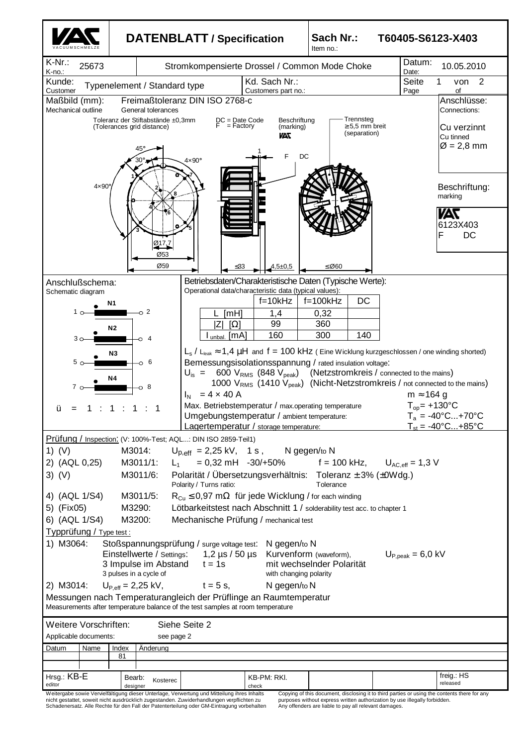

nicht gestattet, soweit nicht ausdrücklich zugestanden. Zuwiderhandlungen verpflichten zu Schadenersatz. Alle Rechte für den Fall der Patenterteilung oder GM-Eintragung vorbehalten

purposes without express written authorization by use illegally forbidden. Any offenders are liable to pay all relevant damages.